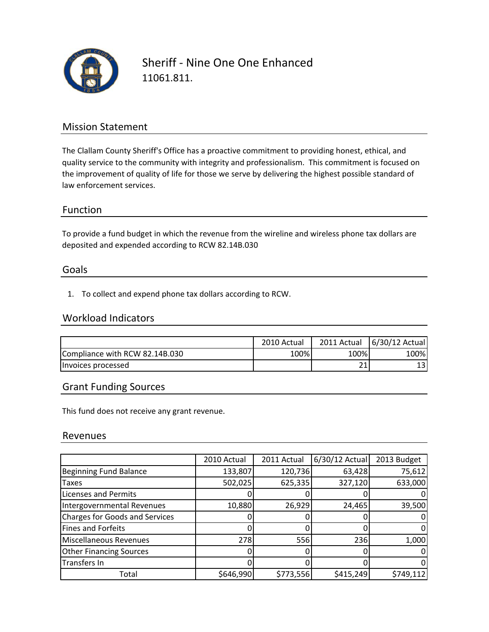

Sheriff ‐ Nine One One Enhanced 11061.811.

## Mission Statement

The Clallam County Sheriff's Office has a proactive commitment to providing honest, ethical, and quality service to the community with integrity and professionalism. This commitment is focused on the improvement of quality of life for those we serve by delivering the highest possible standard of law enforcement services.

### Function

To provide a fund budget in which the revenue from the wireline and wireless phone tax dollars are deposited and expended according to RCW 82.14B.030

#### Goals

1. To collect and expend phone tax dollars according to RCW.

### Workload Indicators

|                                | 2010 Actual | 2011 Actual | 6/30/12 Actual |
|--------------------------------|-------------|-------------|----------------|
| Compliance with RCW 82.14B.030 | 100%        | 100%        | 100%           |
| Invoices processed             |             | ີ 1<br>ᅀ    | 13             |

## Grant Funding Sources

This fund does not receive any grant revenue.

#### Revenues

|                                       | 2010 Actual | 2011 Actual | 6/30/12 Actual | 2013 Budget |
|---------------------------------------|-------------|-------------|----------------|-------------|
| <b>Beginning Fund Balance</b>         | 133,807     | 120,736     | 63,428         | 75,612      |
| <b>Taxes</b>                          | 502,025     | 625,335     | 327,120        | 633,000     |
| <b>Licenses and Permits</b>           |             |             |                |             |
| Intergovernmental Revenues            | 10,880      | 26,929      | 24,465         | 39,500      |
| <b>Charges for Goods and Services</b> |             |             |                |             |
| Fines and Forfeits                    |             |             |                |             |
| <b>Miscellaneous Revenues</b>         | 278         | 556         | 236            | 1,000       |
| <b>Other Financing Sources</b>        |             |             |                |             |
| Transfers In                          |             |             |                |             |
| Total                                 | \$646,990   | \$773,556   | \$415,249      | \$749,112   |